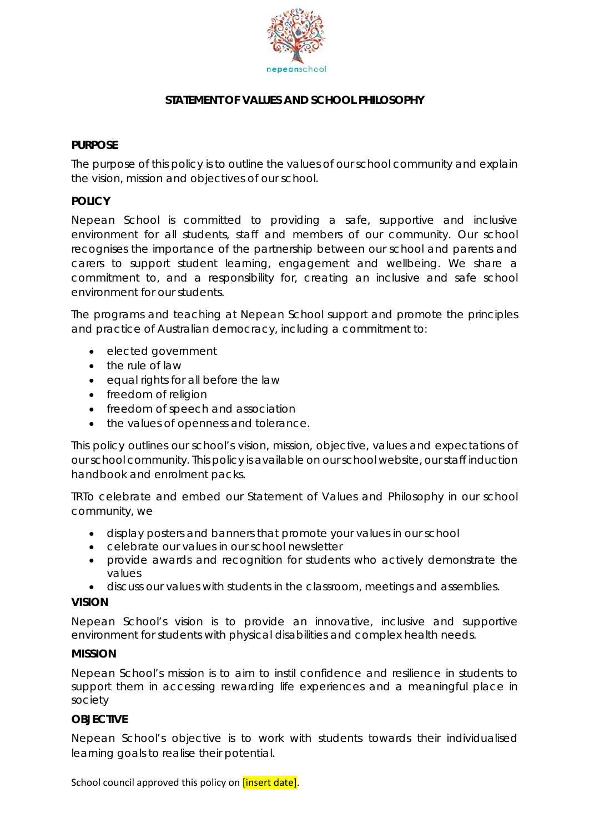

# **STATEMENT OF VALUES AND SCHOOL PHILOSOPHY**

### **PURPOSE**

The purpose of this policy is to outline the values of our school community and explain the vision, mission and objectives of our school.

### **POLICY**

Nepean School is committed to providing a safe, supportive and inclusive environment for all students, staff and members of our community. Our school recognises the importance of the partnership between our school and parents and carers to support student learning, engagement and wellbeing. We share a commitment to, and a responsibility for, creating an inclusive and safe school environment for our students.

The programs and teaching at Nepean School support and promote the principles and practice of Australian democracy, including a commitment to:

- elected government
- the rule of law
- equal rights for all before the law
- freedom of religion
- freedom of speech and association
- the values of openness and tolerance.

This policy outlines our school's vision, mission, objective, values and expectations of our school community. This policy is available on our school website, our staff induction handbook and enrolment packs.

TRTo celebrate and embed our Statement of Values and Philosophy in our school community, we

- display posters and banners that promote your values in our school
- celebrate our values in our school newsletter
- provide awards and recognition for students who actively demonstrate the values
- discuss our values with students in the classroom, meetings and assemblies.

#### **VISION**

Nepean School's vision is to provide an innovative, inclusive and supportive environment for students with physical disabilities and complex health needs.

#### **MISSION**

Nepean School's mission is to aim to instil confidence and resilience in students to support them in accessing rewarding life experiences and a meaningful place in society

#### **OBJECTIVE**

Nepean School's objective is to work with students towards their individualised learning goals to realise their potential.

School council approved this policy on *[insert date]*.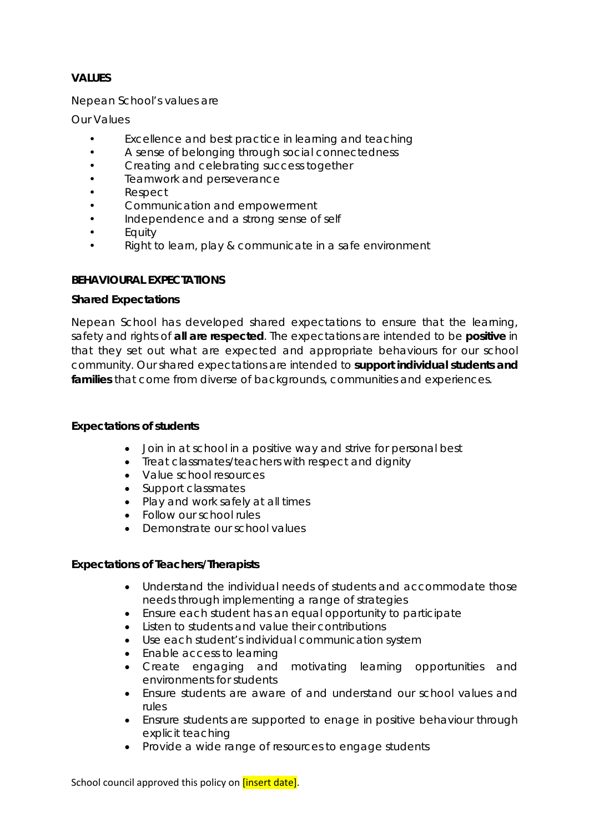# **VALUES**

Nepean School's values are

*Our Values*

- *Excellence and best practice in learning and teaching*
- *A sense of belonging through social connectedness*
- *Creating and celebrating success together*
- *Teamwork and perseverance*
- *Respect*
- *Communication and empowerment*
- *Independence and a strong sense of self*
- *Equity*
- *Right to learn, play & communicate in a safe environment*

### **BEHAVIOURAL EXPECTATIONS**

#### **Shared Expectations**

Nepean School has developed shared expectations to ensure that the learning, safety and rights of **all are respected**. The expectations are intended to be **positive** in that they set out what are expected and appropriate behaviours for our school community. Our shared expectations are intended to **support individual students and families** that come from diverse of backgrounds, communities and experiences.

#### **Expectations of students**

- Join in at school in a positive way and strive for personal best
- Treat classmates/teachers with respect and dignity
- Value school resources
- Support classmates
- Play and work safely at all times
- Follow our school rules
- Demonstrate our school values

#### **Expectations of Teachers/Therapists**

- Understand the individual needs of students and accommodate those needs through implementing a range of strategies
- Ensure each student has an equal opportunity to participate
- Listen to students and value their contributions
- Use each student's individual communication system
- Enable access to learning
- Create engaging and motivating learning opportunities and environments for students
- Ensure students are aware of and understand our school values and rules
- Ensrure students are supported to enage in positive behaviour through explicit teaching
- Provide a wide range of resources to engage students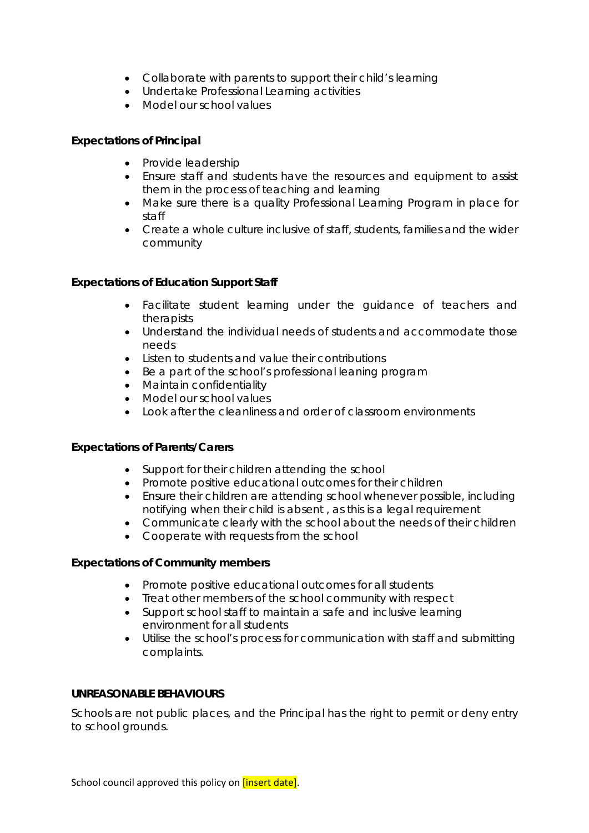- Collaborate with parents to support their child's learning
- Undertake Professional Learning activities
- Model our school values

## **Expectations of Principal**

- Provide leadership
- Ensure staff and students have the resources and equipment to assist them in the process of teaching and learning
- Make sure there is a quality Professional Learning Program in place for staff
- Create a whole culture inclusive of staff, students, families and the wider community

# **Expectations of Education Support Staff**

- Facilitate student learning under the guidance of teachers and therapists
- Understand the individual needs of students and accommodate those needs
- Listen to students and value their contributions
- Be a part of the school's professional leaning program
- Maintain confidentiality
- Model our school values
- Look after the cleanliness and order of classroom environments

## **Expectations of Parents/Carers**

- Support for their children attending the school
- Promote positive educational outcomes for their children
- Ensure their children are attending school whenever possible, including notifying when their child is absent , as this is a legal requirement
- Communicate clearly with the school about the needs of their children
- Cooperate with requests from the school

## **Expectations of Community members**

- Promote positive educational outcomes for all students
- Treat other members of the school community with respect
- Support school staff to maintain a safe and inclusive learning environment for all students
- Utilise the school's process for communication with staff and submitting complaints.

## **UNREASONABLE BEHAVIOURS**

Schools are not public places, and the Principal has the right to permit or deny entry to school grounds.